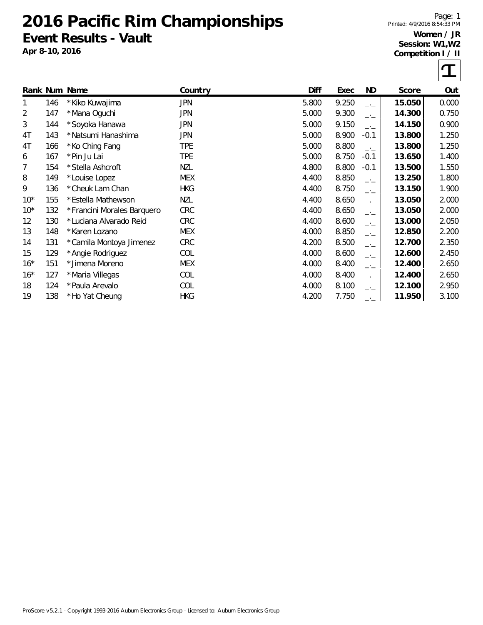## **2016 Pacific Rim Championships Event Results - Vault**

**Apr 8-10, 2016**

Page: 1 Printed: 4/9/2016 8:54:33 PM

## **Women / JR Session: W1,W2 Competition I / II**



|        |     | Rank Num Name              | Country    | <b>Diff</b> | Exec  | ND.    | Score  | Out   |
|--------|-----|----------------------------|------------|-------------|-------|--------|--------|-------|
|        | 146 | * Kiko Kuwajima            | <b>JPN</b> | 5.800       | 9.250 | $-1$   | 15.050 | 0.000 |
| 2      | 147 | *Mana Oguchi               | JPN        | 5.000       | 9.300 | $-1$   | 14.300 | 0.750 |
| 3      | 144 | *Soyoka Hanawa             | JPN        | 5.000       | 9.150 | $-1$   | 14.150 | 0.900 |
| 4T     | 143 | * Natsumi Hanashima        | JPN        | 5.000       | 8.900 | $-0.1$ | 13.800 | 1.250 |
| 4T     | 166 | * Ko Ching Fang            | <b>TPE</b> | 5.000       | 8.800 | $-1$   | 13.800 | 1.250 |
| 6      | 167 | *Pin Ju Lai                | <b>TPE</b> | 5.000       | 8.750 | $-0.1$ | 13.650 | 1.400 |
| 7      | 154 | *Stella Ashcroft           | <b>NZL</b> | 4.800       | 8.800 | $-0.1$ | 13.500 | 1.550 |
| 8      | 149 | *Louise Lopez              | <b>MEX</b> | 4.400       | 8.850 | $-1$   | 13.250 | 1.800 |
| 9      | 136 | *Cheuk Lam Chan            | <b>HKG</b> | 4.400       | 8.750 | $-1$   | 13.150 | 1.900 |
| $10^*$ | 155 | * Estella Mathewson        | <b>NZL</b> | 4.400       | 8.650 | $-1$   | 13.050 | 2.000 |
| $10^*$ | 132 | *Francini Morales Barquero | CRC        | 4.400       | 8.650 | $-1$   | 13.050 | 2.000 |
| 12     | 130 | *Luciana Alvarado Reid     | <b>CRC</b> | 4.400       | 8.600 | $-1$   | 13.000 | 2.050 |
| 13     | 148 | *Karen Lozano              | <b>MEX</b> | 4.000       | 8.850 | $-1$   | 12.850 | 2.200 |
| 14     | 131 | *Camila Montoya Jimenez    | <b>CRC</b> | 4.200       | 8.500 | $-1$   | 12.700 | 2.350 |
| 15     | 129 | *Angie Rodriguez           | COL        | 4.000       | 8.600 | $ -$   | 12.600 | 2.450 |
| $16*$  | 151 | * Jimena Moreno            | <b>MEX</b> | 4.000       | 8.400 | $-1$   | 12.400 | 2.650 |
| $16*$  | 127 | *Maria Villegas            | COL        | 4.000       | 8.400 | $-1$   | 12.400 | 2.650 |
| 18     | 124 | *Paula Arevalo             | COL        | 4.000       | 8.100 | $-1$   | 12.100 | 2.950 |
| 19     | 138 | *Ho Yat Cheung             | <b>HKG</b> | 4.200       | 7.750 | —•—    | 11.950 | 3.100 |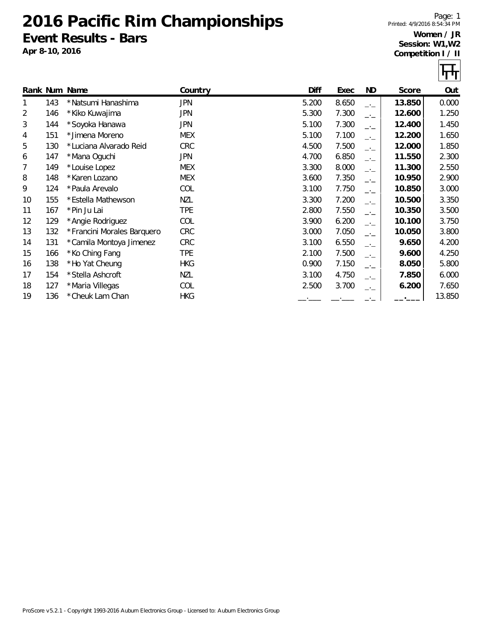## **2016 Pacific Rim Championships Event Results - Bars**

**Apr 8-10, 2016**

Page: 1 Printed: 4/9/2016 8:54:34 PM **Women / JR**

**Session: W1,W2 Competition I / II**



|    |     | Rank Num Name              | Country    | Diff  | Exec  | ND   | Score  | Out    |
|----|-----|----------------------------|------------|-------|-------|------|--------|--------|
|    | 143 | * Natsumi Hanashima        | <b>JPN</b> | 5.200 | 8.650 | $-1$ | 13.850 | 0.000  |
| 2  | 146 | * Kiko Kuwajima            | <b>JPN</b> | 5.300 | 7.300 | $-1$ | 12.600 | 1.250  |
| 3  | 144 | *Soyoka Hanawa             | JPN        | 5.100 | 7.300 | $-1$ | 12.400 | 1.450  |
| 4  | 151 | * Jimena Moreno            | <b>MEX</b> | 5.100 | 7.100 | $-1$ | 12.200 | 1.650  |
| 5  | 130 | *Luciana Alvarado Reid     | <b>CRC</b> | 4.500 | 7.500 | $-1$ | 12.000 | 1.850  |
| 6  | 147 | *Mana Oguchi               | <b>JPN</b> | 4.700 | 6.850 | $-1$ | 11.550 | 2.300  |
| 7  | 149 | *Louise Lopez              | <b>MEX</b> | 3.300 | 8.000 | $ -$ | 11.300 | 2.550  |
| 8  | 148 | *Karen Lozano              | <b>MEX</b> | 3.600 | 7.350 | $-1$ | 10.950 | 2.900  |
| 9  | 124 | *Paula Arevalo             | COL        | 3.100 | 7.750 | $-1$ | 10.850 | 3.000  |
| 10 | 155 | *Estella Mathewson         | <b>NZL</b> | 3.300 | 7.200 | $-1$ | 10.500 | 3.350  |
| 11 | 167 | *Pin Ju Lai                | <b>TPE</b> | 2.800 | 7.550 | $-1$ | 10.350 | 3.500  |
| 12 | 129 | *Angie Rodriguez           | COL        | 3.900 | 6.200 | $ -$ | 10.100 | 3.750  |
| 13 | 132 | *Francini Morales Barquero | <b>CRC</b> | 3.000 | 7.050 | $ -$ | 10.050 | 3.800  |
| 14 | 131 | *Camila Montoya Jimenez    | <b>CRC</b> | 3.100 | 6.550 | $ -$ | 9.650  | 4.200  |
| 15 | 166 | *Ko Ching Fang             | <b>TPE</b> | 2.100 | 7.500 | $-1$ | 9.600  | 4.250  |
| 16 | 138 | *Ho Yat Cheung             | <b>HKG</b> | 0.900 | 7.150 | $-1$ | 8.050  | 5.800  |
| 17 | 154 | *Stella Ashcroft           | <b>NZL</b> | 3.100 | 4.750 | $-1$ | 7.850  | 6.000  |
| 18 | 127 | *Maria Villegas            | COL        | 2.500 | 3.700 | $-1$ | 6.200  | 7.650  |
| 19 | 136 | * Cheuk Lam Chan           | <b>HKG</b> |       |       |      |        | 13.850 |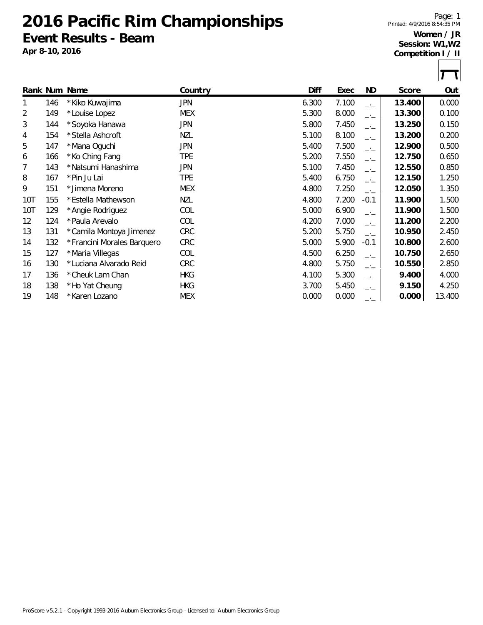**2016 Pacific Rim Championships Event Results - Beam**

**Apr 8-10, 2016**

Page: 1 Printed: 4/9/2016 8:54:35 PM

## **Women / JR Session: W1,W2 Competition I / II**

|                |     | Rank Num Name              | Country    | Diff  | Exec  | ND      | Score  | Out    |
|----------------|-----|----------------------------|------------|-------|-------|---------|--------|--------|
| 1              | 146 | * Kiko Kuwajima            | <b>JPN</b> | 6.300 | 7.100 | $-1$    | 13.400 | 0.000  |
| $\overline{2}$ | 149 | *Louise Lopez              | <b>MEX</b> | 5.300 | 8.000 | $-1$    | 13.300 | 0.100  |
| 3              | 144 | *Soyoka Hanawa             | <b>JPN</b> | 5.800 | 7.450 | $-1$    | 13.250 | 0.150  |
| 4              | 154 | *Stella Ashcroft           | NZL        | 5.100 | 8.100 | $-1$    | 13.200 | 0.200  |
| 5              | 147 | *Mana Oguchi               | <b>JPN</b> | 5.400 | 7.500 | $-1$    | 12.900 | 0.500  |
| 6              | 166 | *Ko Ching Fang             | <b>TPE</b> | 5.200 | 7.550 | $-1$    | 12.750 | 0.650  |
| 7              | 143 | * Natsumi Hanashima        | <b>JPN</b> | 5.100 | 7.450 | $-1$    | 12.550 | 0.850  |
| 8              | 167 | *Pin Ju Lai                | TPE        | 5.400 | 6.750 | $-1$    | 12.150 | 1.250  |
| 9              | 151 | * Jimena Moreno            | <b>MEX</b> | 4.800 | 7.250 | $-1$    | 12.050 | 1.350  |
| 10T            | 155 | * Estella Mathewson        | <b>NZL</b> | 4.800 | 7.200 | $-0.1$  | 11.900 | 1.500  |
| 10T            | 129 | *Angie Rodriguez           | COL        | 5.000 | 6.900 | $-1$    | 11.900 | 1.500  |
| 12             | 124 | *Paula Arevalo             | COL        | 4.200 | 7.000 | $-1$    | 11.200 | 2.200  |
| 13             | 131 | *Camila Montoya Jimenez    | CRC        | 5.200 | 5.750 | $ -$    | 10.950 | 2.450  |
| 14             | 132 | *Francini Morales Barquero | CRC        | 5.000 | 5.900 | $-0.1$  | 10.800 | 2.600  |
| 15             | 127 | *Maria Villegas            | COL        | 4.500 | 6.250 | $-1$    | 10.750 | 2.650  |
| 16             | 130 | *Luciana Alvarado Reid     | <b>CRC</b> | 4.800 | 5.750 | $-1$    | 10.550 | 2.850  |
| 17             | 136 | * Cheuk Lam Chan           | <b>HKG</b> | 4.100 | 5.300 | —'—     | 9.400  | 4.000  |
| 18             | 138 | *Ho Yat Cheung             | <b>HKG</b> | 3.700 | 5.450 | —.<br>— | 9.150  | 4.250  |
| 19             | 148 | *Karen Lozano              | <b>MEX</b> | 0.000 | 0.000 | $ -$    | 0.000  | 13.400 |